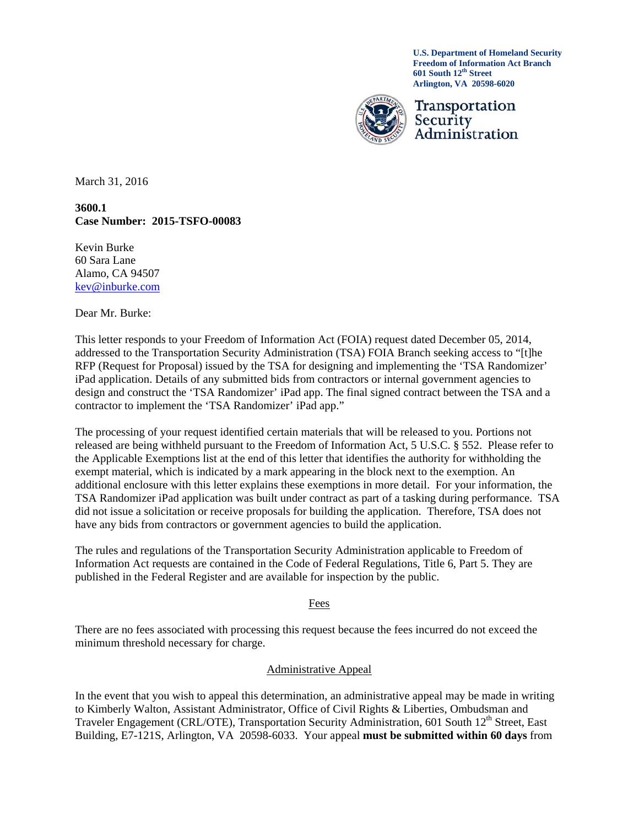**U.S. Department of Homeland Security Freedom of Information Act Branch 601 South 12th Street Arlington, VA 20598-6020** 



Transportation Security Administration

March 31, 2016

#### **3600.1 Case Number: 2015-TSFO-00083**

Kevin Burke 60 Sara Lane Alamo, CA 94507 kev@inburke.com

Dear Mr. Burke:

This letter responds to your Freedom of Information Act (FOIA) request dated December 05, 2014, addressed to the Transportation Security Administration (TSA) FOIA Branch seeking access to "[t]he RFP (Request for Proposal) issued by the TSA for designing and implementing the 'TSA Randomizer' iPad application. Details of any submitted bids from contractors or internal government agencies to design and construct the 'TSA Randomizer' iPad app. The final signed contract between the TSA and a contractor to implement the 'TSA Randomizer' iPad app."

The processing of your request identified certain materials that will be released to you. Portions not released are being withheld pursuant to the Freedom of Information Act, 5 U.S.C. § 552. Please refer to the Applicable Exemptions list at the end of this letter that identifies the authority for withholding the exempt material, which is indicated by a mark appearing in the block next to the exemption. An additional enclosure with this letter explains these exemptions in more detail. For your information, the TSA Randomizer iPad application was built under contract as part of a tasking during performance. TSA did not issue a solicitation or receive proposals for building the application. Therefore, TSA does not have any bids from contractors or government agencies to build the application.

The rules and regulations of the Transportation Security Administration applicable to Freedom of Information Act requests are contained in the Code of Federal Regulations, Title 6, Part 5. They are published in the Federal Register and are available for inspection by the public.

Fees

There are no fees associated with processing this request because the fees incurred do not exceed the minimum threshold necessary for charge.

#### Administrative Appeal

In the event that you wish to appeal this determination, an administrative appeal may be made in writing to Kimberly Walton, Assistant Administrator, Office of Civil Rights & Liberties, Ombudsman and Traveler Engagement (CRL/OTE), Transportation Security Administration, 601 South 12<sup>th</sup> Street, East Building, E7-121S, Arlington, VA 20598-6033. Your appeal **must be submitted within 60 days** from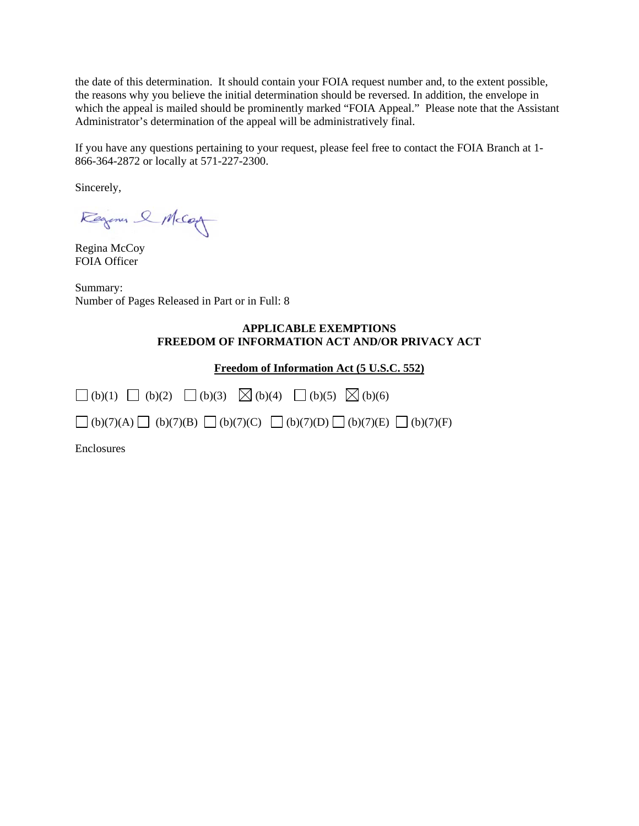the date of this determination. It should contain your FOIA request number and, to the extent possible, the reasons why you believe the initial determination should be reversed. In addition, the envelope in which the appeal is mailed should be prominently marked "FOIA Appeal." Please note that the Assistant Administrator's determination of the appeal will be administratively final.

If you have any questions pertaining to your request, please feel free to contact the FOIA Branch at 1- 866-364-2872 or locally at 571-227-2300.

Sincerely,

Regina & McCon

Regina McCoy FOIA Officer

Summary: Number of Pages Released in Part or in Full: 8

#### **APPLICABLE EXEMPTIONS FREEDOM OF INFORMATION ACT AND/OR PRIVACY ACT**

**Freedom of Information Act (5 U.S.C. 552)** 

| $\Box$ (b)(1) $\Box$ (b)(2) $\Box$ (b)(3) $\boxtimes$ (b)(4) $\Box$ (b)(5) $\boxtimes$ (b)(6)         |  |  |  |
|-------------------------------------------------------------------------------------------------------|--|--|--|
| $\Box$ (b)(7)(A) $\Box$ (b)(7)(B) $\Box$ (b)(7)(C) $\Box$ (b)(7)(D) $\Box$ (b)(7)(E) $\Box$ (b)(7)(F) |  |  |  |
| Enclosures                                                                                            |  |  |  |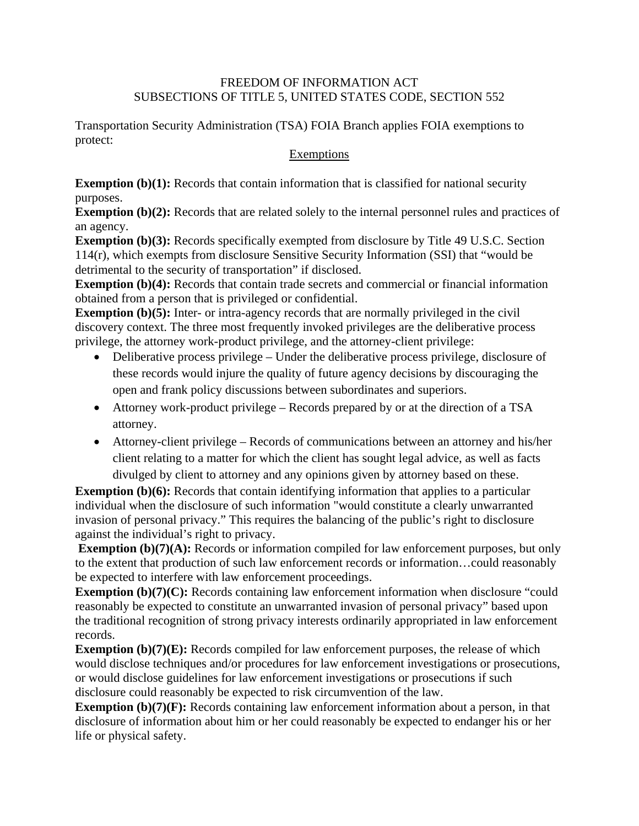## FREEDOM OF INFORMATION ACT SUBSECTIONS OF TITLE 5, UNITED STATES CODE, SECTION 552

Transportation Security Administration (TSA) FOIA Branch applies FOIA exemptions to protect:

## **Exemptions**

**Exemption (b)(1):** Records that contain information that is classified for national security purposes.

**Exemption (b)(2):** Records that are related solely to the internal personnel rules and practices of an agency.

**Exemption (b)(3):** Records specifically exempted from disclosure by Title 49 U.S.C. Section 114(r), which exempts from disclosure Sensitive Security Information (SSI) that "would be detrimental to the security of transportation" if disclosed.

**Exemption (b)(4):** Records that contain trade secrets and commercial or financial information obtained from a person that is privileged or confidential.

**Exemption (b)(5):** Inter- or intra-agency records that are normally privileged in the civil discovery context. The three most frequently invoked privileges are the deliberative process privilege, the attorney work-product privilege, and the attorney-client privilege:

- Deliberative process privilege Under the deliberative process privilege, disclosure of these records would injure the quality of future agency decisions by discouraging the open and frank policy discussions between subordinates and superiors.
- Attorney work-product privilege Records prepared by or at the direction of a TSA attorney.
- Attorney-client privilege Records of communications between an attorney and his/her client relating to a matter for which the client has sought legal advice, as well as facts divulged by client to attorney and any opinions given by attorney based on these.

**Exemption (b)(6):** Records that contain identifying information that applies to a particular individual when the disclosure of such information "would constitute a clearly unwarranted invasion of personal privacy." This requires the balancing of the public's right to disclosure against the individual's right to privacy.

**Exemption (b)(7)(A):** Records or information compiled for law enforcement purposes, but only to the extent that production of such law enforcement records or information…could reasonably be expected to interfere with law enforcement proceedings.

**Exemption (b)(7)(C):** Records containing law enforcement information when disclosure "could reasonably be expected to constitute an unwarranted invasion of personal privacy" based upon the traditional recognition of strong privacy interests ordinarily appropriated in law enforcement records.

**Exemption (b)(7)(E):** Records compiled for law enforcement purposes, the release of which would disclose techniques and/or procedures for law enforcement investigations or prosecutions, or would disclose guidelines for law enforcement investigations or prosecutions if such disclosure could reasonably be expected to risk circumvention of the law.

**Exemption (b)(7)(F):** Records containing law enforcement information about a person, in that disclosure of information about him or her could reasonably be expected to endanger his or her life or physical safety.